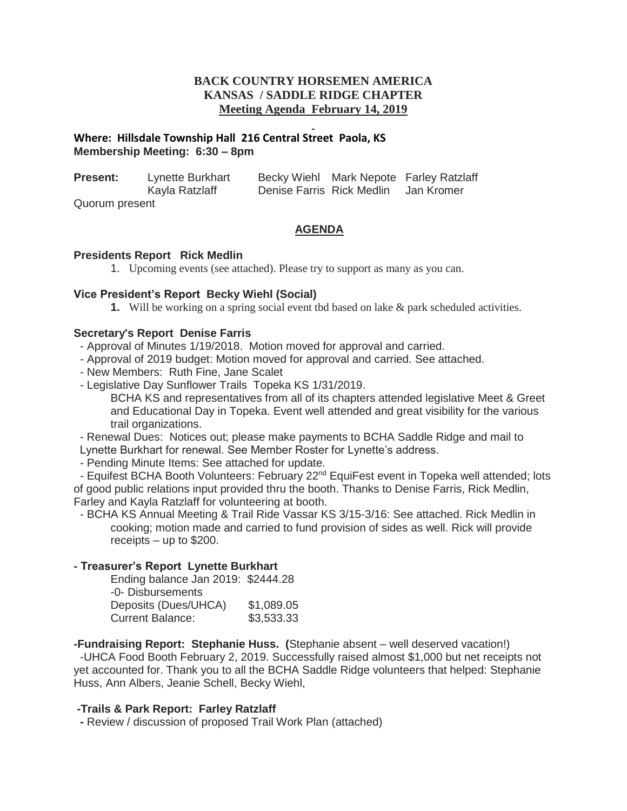# **BACK COUNTRY HORSEMEN AMERICA KANSAS / SADDLE RIDGE CHAPTER Meeting Agenda February 14, 2019**

# **Where: Hillsdale Township Hall 216 Central Street Paola, KS Membership Meeting: 6:30 – 8pm**

| <b>Present:</b> | Lynette Burkhart |                           |  | Becky Wiehl Mark Nepote Farley Ratzlaff |
|-----------------|------------------|---------------------------|--|-----------------------------------------|
|                 | Kayla Ratzlaff   | Denise Farris Rick Medlin |  | Jan Kromer                              |
| Quorum present  |                  |                           |  |                                         |

# **AGENDA**

#### **Presidents Report Rick Medlin**

1. Upcoming events (see attached). Please try to support as many as you can.

# **Vice President's Report Becky Wiehl (Social)**

**1.** Will be working on a spring social event tbd based on lake & park scheduled activities.

# **Secretary's Report Denise Farris**

- Approval of Minutes 1/19/2018. Motion moved for approval and carried.
- Approval of 2019 budget: Motion moved for approval and carried. See attached.
- New Members: Ruth Fine, Jane Scalet
- Legislative Day Sunflower Trails Topeka KS 1/31/2019.

BCHA KS and representatives from all of its chapters attended legislative Meet & Greet and Educational Day in Topeka. Event well attended and great visibility for the various trail organizations.

- Renewal Dues: Notices out; please make payments to BCHA Saddle Ridge and mail to Lynette Burkhart for renewal. See Member Roster for Lynette's address.

- Pending Minute Items: See attached for update.

- Equifest BCHA Booth Volunteers: February 22<sup>nd</sup> EquiFest event in Topeka well attended; lots of good public relations input provided thru the booth. Thanks to Denise Farris, Rick Medlin, Farley and Kayla Ratzlaff for volunteering at booth.

- BCHA KS Annual Meeting & Trail Ride Vassar KS 3/15-3/16: See attached. Rick Medlin in cooking; motion made and carried to fund provision of sides as well. Rick will provide receipts – up to \$200.

# **- Treasurer's Report Lynette Burkhart**

Ending balance Jan 2019: \$2444.28 -0- Disbursements Deposits (Dues/UHCA) \$1,089.05 Current Balance: \$3,533.33

**-Fundraising Report: Stephanie Huss. (**Stephanie absent – well deserved vacation!) -UHCA Food Booth February 2, 2019. Successfully raised almost \$1,000 but net receipts not yet accounted for. Thank you to all the BCHA Saddle Ridge volunteers that helped: Stephanie Huss, Ann Albers, Jeanie Schell, Becky Wiehl,

# **-Trails & Park Report: Farley Ratzlaff**

**-** Review / discussion of proposed Trail Work Plan (attached)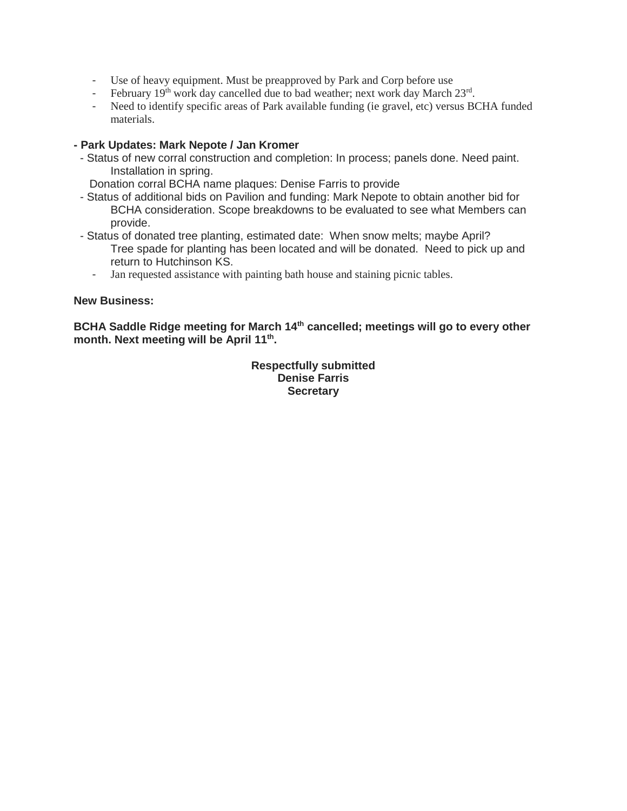- Use of heavy equipment. Must be preapproved by Park and Corp before use
- February  $19<sup>th</sup>$  work day cancelled due to bad weather; next work day March  $23<sup>rd</sup>$ .
- Need to identify specific areas of Park available funding (ie gravel, etc) versus BCHA funded materials.

### **- Park Updates: Mark Nepote / Jan Kromer**

- Status of new corral construction and completion: In process; panels done. Need paint. Installation in spring.

Donation corral BCHA name plaques: Denise Farris to provide

- Status of additional bids on Pavilion and funding: Mark Nepote to obtain another bid for BCHA consideration. Scope breakdowns to be evaluated to see what Members can provide.
- Status of donated tree planting, estimated date: When snow melts; maybe April? Tree spade for planting has been located and will be donated. Need to pick up and return to Hutchinson KS.
	- Jan requested assistance with painting bath house and staining picnic tables.

#### **New Business:**

**BCHA Saddle Ridge meeting for March 14th cancelled; meetings will go to every other month. Next meeting will be April 11th .**

> **Respectfully submitted Denise Farris Secretary**